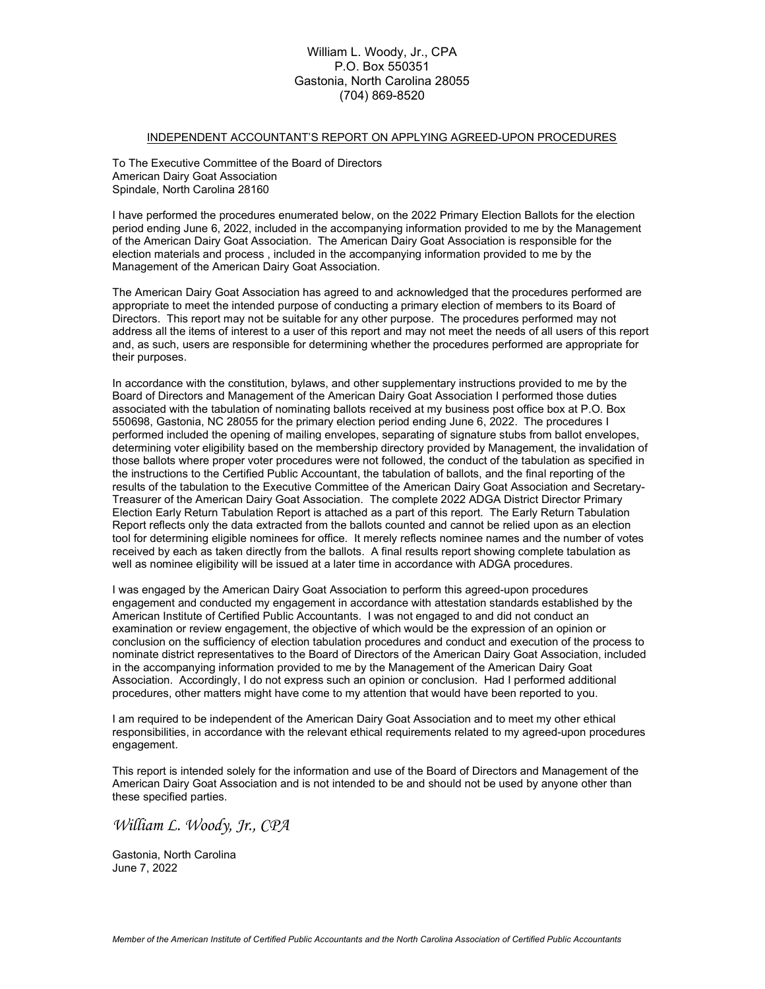### William L. Woody, Jr., CPA P.O. Box 550351 Gastonia, North Carolina 28055 (704) 869-8520

### INDEPENDENT ACCOUNTANT'S REPORT ON APPLYING AGREED-UPON PROCEDURES

To The Executive Committee of the Board of Directors American Dairy Goat Association Spindale, North Carolina 28160

I have performed the procedures enumerated below, on the 2022 Primary Election Ballots for the election period ending June 6, 2022, included in the accompanying information provided to me by the Management of the American Dairy Goat Association. The American Dairy Goat Association is responsible for the election materials and process , included in the accompanying information provided to me by the Management of the American Dairy Goat Association.

The American Dairy Goat Association has agreed to and acknowledged that the procedures performed are appropriate to meet the intended purpose of conducting a primary election of members to its Board of Directors. This report may not be suitable for any other purpose. The procedures performed may not address all the items of interest to a user of this report and may not meet the needs of all users of this report and, as such, users are responsible for determining whether the procedures performed are appropriate for their purposes.

In accordance with the constitution, bylaws, and other supplementary instructions provided to me by the Board of Directors and Management of the American Dairy Goat Association I performed those duties associated with the tabulation of nominating ballots received at my business post office box at P.O. Box 550698, Gastonia, NC 28055 for the primary election period ending June 6, 2022. The procedures I performed included the opening of mailing envelopes, separating of signature stubs from ballot envelopes, determining voter eligibility based on the membership directory provided by Management, the invalidation of those ballots where proper voter procedures were not followed, the conduct of the tabulation as specified in the instructions to the Certified Public Accountant, the tabulation of ballots, and the final reporting of the results of the tabulation to the Executive Committee of the American Dairy Goat Association and Secretary-Treasurer of the American Dairy Goat Association. The complete 2022 ADGA District Director Primary Election Early Return Tabulation Report is attached as a part of this report. The Early Return Tabulation Report reflects only the data extracted from the ballots counted and cannot be relied upon as an election tool for determining eligible nominees for office. It merely reflects nominee names and the number of votes received by each as taken directly from the ballots. A final results report showing complete tabulation as well as nominee eligibility will be issued at a later time in accordance with ADGA procedures.

I was engaged by the American Dairy Goat Association to perform this agreed-upon procedures engagement and conducted my engagement in accordance with attestation standards established by the American Institute of Certified Public Accountants. I was not engaged to and did not conduct an examination or review engagement, the objective of which would be the expression of an opinion or conclusion on the sufficiency of election tabulation procedures and conduct and execution of the process to nominate district representatives to the Board of Directors of the American Dairy Goat Association, included in the accompanying information provided to me by the Management of the American Dairy Goat Association. Accordingly, I do not express such an opinion or conclusion. Had I performed additional procedures, other matters might have come to my attention that would have been reported to you.

I am required to be independent of the American Dairy Goat Association and to meet my other ethical responsibilities, in accordance with the relevant ethical requirements related to my agreed-upon procedures engagement.

This report is intended solely for the information and use of the Board of Directors and Management of the American Dairy Goat Association and is not intended to be and should not be used by anyone other than these specified parties.

William L. Woody, Jr., CPA

Gastonia, North Carolina June 7, 2022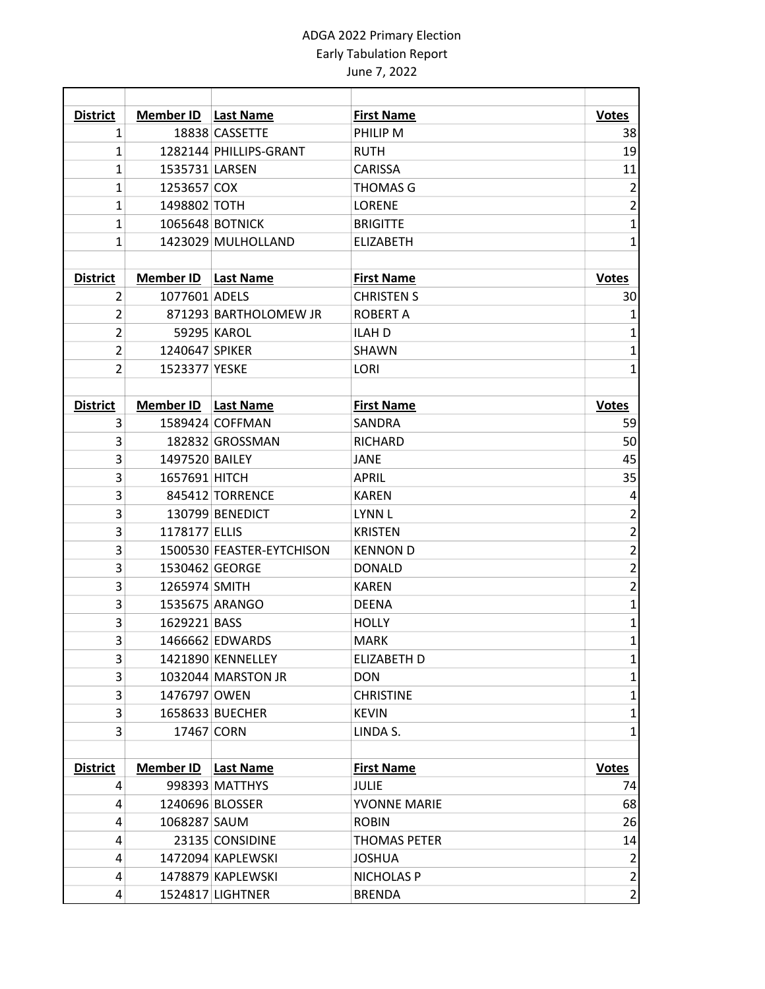# ADGA 2022 Primary Election Early Tabulation Report June 7, 2022

| <b>District</b> | <b>Member ID</b> | <b>Last Name</b>          | <b>First Name</b>   | <b>Votes</b>                               |
|-----------------|------------------|---------------------------|---------------------|--------------------------------------------|
| 1               |                  | 18838 CASSETTE            | PHILIP M            | 38                                         |
| $\mathbf{1}$    |                  | 1282144 PHILLIPS-GRANT    | <b>RUTH</b>         | 19                                         |
| 1               | 1535731 LARSEN   |                           | <b>CARISSA</b>      | 11                                         |
| $\mathbf{1}$    | 1253657 COX      |                           | <b>THOMAS G</b>     | $\overline{\mathbf{c}}$                    |
| 1               | 1498802 TOTH     |                           | <b>LORENE</b>       | $\overline{\mathbf{c}}$                    |
| 1               |                  | 1065648 BOTNICK           | <b>BRIGITTE</b>     | $\mathbf{1}$                               |
| $\mathbf{1}$    |                  | 1423029 MULHOLLAND        | <b>ELIZABETH</b>    | $\mathbf{1}$                               |
|                 |                  |                           |                     |                                            |
| <b>District</b> | <b>Member ID</b> | <b>Last Name</b>          | <b>First Name</b>   | <b>Votes</b>                               |
| 2               | 1077601 ADELS    |                           | <b>CHRISTEN S</b>   | 30                                         |
| $\overline{2}$  |                  | 871293 BARTHOLOMEW JR     | <b>ROBERT A</b>     | $\mathbf{1}$                               |
| $\overline{2}$  |                  | 59295 KAROL               | <b>ILAH D</b>       | $\mathbf 1$                                |
| $\overline{2}$  | 1240647 SPIKER   |                           | <b>SHAWN</b>        | $\mathbf{1}$                               |
| $\overline{2}$  | 1523377 YESKE    |                           | LORI                | $\mathbf{1}$                               |
|                 |                  |                           |                     |                                            |
| <b>District</b> | Member ID        | Last Name                 | <b>First Name</b>   | <b>Votes</b>                               |
| 3               |                  | 1589424 COFFMAN           | <b>SANDRA</b>       | 59                                         |
| 3               |                  | 182832 GROSSMAN           | <b>RICHARD</b>      | 50                                         |
| 3               | 1497520 BAILEY   |                           | <b>JANE</b>         | 45                                         |
| 3               | 1657691 HITCH    |                           | <b>APRIL</b>        | 35                                         |
| 3               |                  | 845412 TORRENCE           | <b>KAREN</b>        | $\pmb{4}$                                  |
| 3               |                  | 130799 BENEDICT           | <b>LYNN L</b>       | $\overline{\mathbf{c}}$                    |
| 3               | 1178177 ELLIS    |                           | <b>KRISTEN</b>      |                                            |
| 3               |                  | 1500530 FEASTER-EYTCHISON | <b>KENNON D</b>     | $\begin{array}{c} 2 \\ 2 \\ 2 \end{array}$ |
| 3               |                  | 1530462 GEORGE            | <b>DONALD</b>       |                                            |
| 3               | 1265974 SMITH    |                           | <b>KAREN</b>        | $\overline{\mathbf{c}}$                    |
| 3               |                  | 1535675 ARANGO            | <b>DEENA</b>        | $\overline{\mathbf{1}}$                    |
| 3               | 1629221 BASS     |                           | <b>HOLLY</b>        | $\overline{1}$                             |
| 3               |                  | 1466662 EDWARDS           | <b>MARK</b>         | $\mathbf{1}$                               |
| 3               |                  | 1421890 KENNELLEY         | ELIZABETH D         | $\mathbf{1}$                               |
| 3               |                  | 1032044 MARSTON JR        | <b>DON</b>          | $\mathbf{1}$                               |
| 3               | 1476797 OWEN     |                           | <b>CHRISTINE</b>    | $\mathbf{1}$                               |
| 3               |                  | 1658633 BUECHER           | <b>KEVIN</b>        | $\mathbf{1}$                               |
| 3               |                  | 17467 CORN                | LINDA S.            | $\mathbf{1}$                               |
|                 |                  |                           |                     |                                            |
| <b>District</b> | <b>Member ID</b> | <b>Last Name</b>          | <b>First Name</b>   | <b>Votes</b>                               |
| 4               |                  | 998393 MATTHYS            | JULIE               | 74                                         |
| 4               |                  | 1240696 BLOSSER           | YVONNE MARIE        | 68                                         |
| 4               | 1068287 SAUM     |                           | <b>ROBIN</b>        | 26                                         |
| 4               |                  | 23135 CONSIDINE           | <b>THOMAS PETER</b> | 14                                         |
| 4               |                  | 1472094 KAPLEWSKI         | <b>JOSHUA</b>       | $\overline{2}$                             |
| 4               |                  | 1478879 KAPLEWSKI         | <b>NICHOLAS P</b>   | $\mathbf 2$                                |
| 4               |                  | 1524817 LIGHTNER          | <b>BRENDA</b>       | $\overline{c}$                             |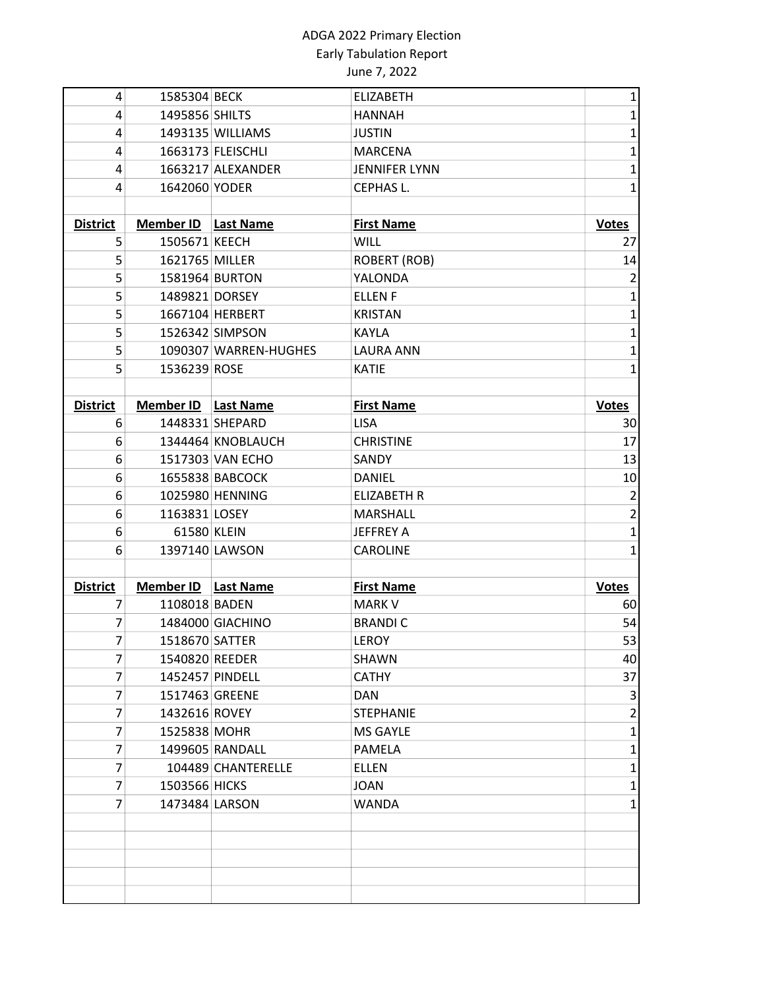# ADGA 2022 Primary Election Early Tabulation Report June 7, 2022

| 4               | 1585304 BECK        |                       | <b>ELIZABETH</b>     | $\mathbf{1}$   |
|-----------------|---------------------|-----------------------|----------------------|----------------|
| 4               | 1495856 SHILTS      |                       | <b>HANNAH</b>        | $\mathbf 1$    |
| 4               |                     | 1493135 WILLIAMS      | <b>JUSTIN</b>        | $\mathbf 1$    |
| 4               |                     | 1663173 FLEISCHLI     | <b>MARCENA</b>       | $\mathbf{1}$   |
| 4               |                     | 1663217 ALEXANDER     | <b>JENNIFER LYNN</b> | $\mathbf 1$    |
| 4               | 1642060 YODER       |                       | CEPHAS L.            | $\mathbf{1}$   |
|                 |                     |                       |                      |                |
| <b>District</b> | Member ID Last Name |                       | <b>First Name</b>    | <b>Votes</b>   |
| 5               | 1505671 KEECH       |                       | <b>WILL</b>          | 27             |
| 5               | 1621765 MILLER      |                       | <b>ROBERT (ROB)</b>  | 14             |
| 5               |                     | 1581964 BURTON        | YALONDA              | $\overline{2}$ |
| 5               | 1489821 DORSEY      |                       | <b>ELLENF</b>        | $\mathbf 1$    |
| 5               |                     | 1667104 HERBERT       | <b>KRISTAN</b>       | $\mathbf 1$    |
| 5               |                     | 1526342 SIMPSON       | <b>KAYLA</b>         | $\mathbf 1$    |
| 5               |                     | 1090307 WARREN-HUGHES | <b>LAURA ANN</b>     | $\mathbf 1$    |
| 5               | 1536239 ROSE        |                       | <b>KATIE</b>         | $\mathbf{1}$   |
|                 |                     |                       |                      |                |
| <b>District</b> | <b>Member ID</b>    | <b>Last Name</b>      | <b>First Name</b>    | <b>Votes</b>   |
| 6               |                     | 1448331 SHEPARD       | <b>LISA</b>          | 30             |
| 6               |                     | 1344464 KNOBLAUCH     | <b>CHRISTINE</b>     | 17             |
| 6               |                     | 1517303 VAN ECHO      | <b>SANDY</b>         | 13             |
| 6               |                     | 1655838 BABCOCK       | <b>DANIEL</b>        | 10             |
| 6               |                     | 1025980 HENNING       | <b>ELIZABETH R</b>   | $\overline{2}$ |
| 6               | 1163831 LOSEY       |                       | <b>MARSHALL</b>      | $\mathbf 2$    |
| 6               | 61580 KLEIN         |                       | <b>JEFFREY A</b>     | $\mathbf 1$    |
| 6               |                     | 1397140 LAWSON        | <b>CAROLINE</b>      | $\mathbf{1}$   |
|                 |                     |                       |                      |                |
| <b>District</b> | <b>Member ID</b>    | <b>Last Name</b>      | <b>First Name</b>    | <b>Votes</b>   |
| 7               | 1108018 BADEN       |                       | <b>MARK V</b>        | 60             |
| 7               |                     | 1484000 GIACHINO      | <b>BRANDIC</b>       | 54             |
| 7               | 1518670 SATTER      |                       | LEROY                | 53             |
| 7               | 1540820 REEDER      |                       | SHAWN                | 40             |
| 7               |                     | 1452457 PINDELL       | <b>CATHY</b>         | 37             |
| 7               |                     | 1517463 GREENE        | DAN                  | 3              |
| 7               | 1432616 ROVEY       |                       | <b>STEPHANIE</b>     | 2              |
| 7               | 1525838 MOHR        |                       | <b>MS GAYLE</b>      | $\mathbf{1}$   |
| 7               |                     | 1499605 RANDALL       | PAMELA               | $\mathbf{1}$   |
| 7               |                     | 104489 CHANTERELLE    | <b>ELLEN</b>         | $\mathbf{1}$   |
| 7               | 1503566 HICKS       |                       | JOAN                 | 1              |
| 7               |                     | 1473484 LARSON        | <b>WANDA</b>         | $\mathbf{1}$   |
|                 |                     |                       |                      |                |
|                 |                     |                       |                      |                |
|                 |                     |                       |                      |                |
|                 |                     |                       |                      |                |
|                 |                     |                       |                      |                |